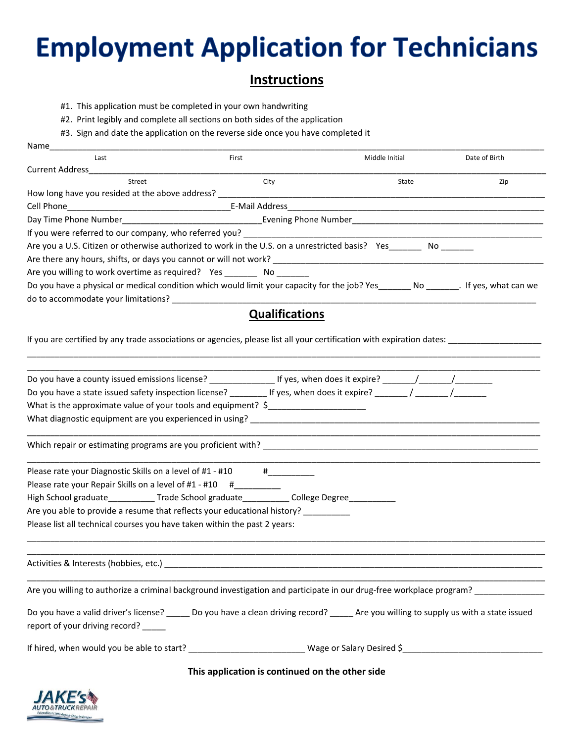# **Employment Application for Technicians**

## **Instructions**

- #1. This application must be completed in your own handwriting
- #2. Print legibly and complete all sections on both sides of the application
- #3. Sign and date the application on the reverse side once you have completed it

| Last                                                                                                                                                  |                       |                |               |
|-------------------------------------------------------------------------------------------------------------------------------------------------------|-----------------------|----------------|---------------|
|                                                                                                                                                       | First                 | Middle Initial | Date of Birth |
| <b>Current Address</b>                                                                                                                                |                       |                |               |
| Street                                                                                                                                                | City                  | State          | Zip           |
|                                                                                                                                                       |                       |                |               |
|                                                                                                                                                       |                       |                |               |
|                                                                                                                                                       |                       |                |               |
| Are you a U.S. Citizen or otherwise authorized to work in the U.S. on a unrestricted basis? Yes________ No ______                                     |                       |                |               |
|                                                                                                                                                       |                       |                |               |
| Are you willing to work overtime as required? Yes ________ No _______                                                                                 |                       |                |               |
| Do you have a physical or medical condition which would limit your capacity for the job? Yes_______ No _______. If yes, what can we                   |                       |                |               |
|                                                                                                                                                       |                       |                |               |
|                                                                                                                                                       |                       |                |               |
|                                                                                                                                                       | <b>Qualifications</b> |                |               |
| If you are certified by any trade associations or agencies, please list all your certification with expiration dates:                                 |                       |                |               |
|                                                                                                                                                       |                       |                |               |
|                                                                                                                                                       |                       |                |               |
|                                                                                                                                                       |                       |                |               |
| Do you have a state issued safety inspection license? _________ If yes, when does it expire? ______/ ______/ _______                                  |                       |                |               |
| What is the approximate value of your tools and equipment? \$                                                                                         |                       |                |               |
|                                                                                                                                                       |                       |                |               |
|                                                                                                                                                       |                       |                |               |
|                                                                                                                                                       |                       |                |               |
|                                                                                                                                                       |                       |                |               |
|                                                                                                                                                       |                       |                |               |
|                                                                                                                                                       |                       |                |               |
| Please rate your Diagnostic Skills on a level of #1 - #10 #                                                                                           |                       |                |               |
| Please rate your Repair Skills on a level of #1 - #10 #_________                                                                                      |                       |                |               |
| High School graduate _____________Trade School graduate ______________ College Degree _____________                                                   |                       |                |               |
| Are you able to provide a resume that reflects your educational history?<br>Please list all technical courses you have taken within the past 2 years: |                       |                |               |
|                                                                                                                                                       |                       |                |               |
|                                                                                                                                                       |                       |                |               |
|                                                                                                                                                       |                       |                |               |
|                                                                                                                                                       |                       |                |               |
| Are you willing to authorize a criminal background investigation and participate in our drug-free workplace program?                                  |                       |                |               |
|                                                                                                                                                       |                       |                |               |
| Do you have a valid driver's license? ______ Do you have a clean driving record? ______ Are you willing to supply us with a state issued              |                       |                |               |
| report of your driving record? ____                                                                                                                   |                       |                |               |
|                                                                                                                                                       |                       |                |               |

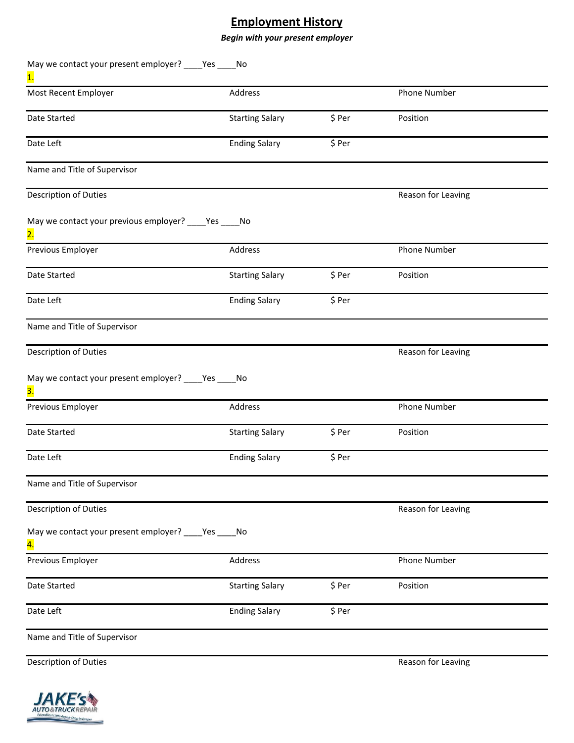## **Employment History**

*Begin with your present employer*

| May we contact your present employer? ____ Yes ____ No<br>$\overline{\mathbf{1}}$ . |                        |        |                    |  |
|-------------------------------------------------------------------------------------|------------------------|--------|--------------------|--|
| Most Recent Employer                                                                | Address                |        | Phone Number       |  |
| Date Started                                                                        | <b>Starting Salary</b> | \$ Per | Position           |  |
| Date Left                                                                           | <b>Ending Salary</b>   | \$ Per |                    |  |
| Name and Title of Supervisor                                                        |                        |        |                    |  |
| Description of Duties                                                               |                        |        | Reason for Leaving |  |
| May we contact your previous employer? ____Yes ____No<br>$\overline{\mathbf{2}}$ .  |                        |        |                    |  |
| Previous Employer                                                                   | Address                |        | Phone Number       |  |
| Date Started                                                                        | <b>Starting Salary</b> | \$ Per | Position           |  |
| Date Left                                                                           | <b>Ending Salary</b>   | \$ Per |                    |  |
| Name and Title of Supervisor                                                        |                        |        |                    |  |
| Description of Duties                                                               |                        |        | Reason for Leaving |  |
| May we contact your present employer? ____ Yes ____ No<br>3.                        |                        |        |                    |  |
| Previous Employer                                                                   | Address                |        | Phone Number       |  |
| Date Started                                                                        | <b>Starting Salary</b> | \$ Per | Position           |  |
| Date Left                                                                           | <b>Ending Salary</b>   | \$ Per |                    |  |
| Name and Title of Supervisor                                                        |                        |        |                    |  |
| Description of Duties                                                               |                        |        | Reason for Leaving |  |
| May we contact your present employer? _____ Yes _____ No<br>4.                      |                        |        |                    |  |
| Previous Employer                                                                   | Address                |        | Phone Number       |  |
| Date Started                                                                        | <b>Starting Salary</b> | \$ Per | Position           |  |
| Date Left                                                                           | <b>Ending Salary</b>   | \$ Per |                    |  |
| Name and Title of Supervisor                                                        |                        |        |                    |  |

**Description of Duties Description of Duties Description of Duties**  *Reason for Leaving* 

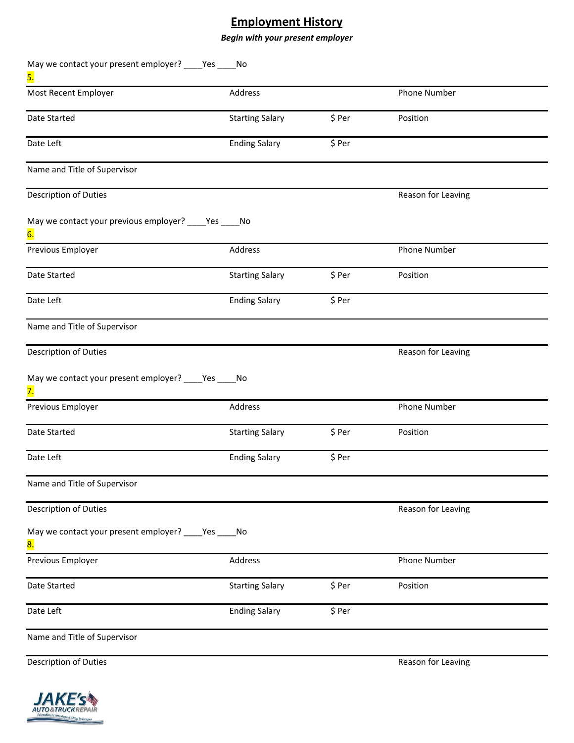## **Employment History**

*Begin with your present employer*

| May we contact your present employer? ____Yes ____No<br>5.                  |                        |        |                    |  |
|-----------------------------------------------------------------------------|------------------------|--------|--------------------|--|
| Most Recent Employer                                                        | Address                |        | Phone Number       |  |
| Date Started                                                                | <b>Starting Salary</b> | \$ Per | Position           |  |
| Date Left                                                                   | <b>Ending Salary</b>   | \$ Per |                    |  |
| Name and Title of Supervisor                                                |                        |        |                    |  |
| Description of Duties                                                       |                        |        | Reason for Leaving |  |
| May we contact your previous employer? ____ Yes ____ No<br>6.               |                        |        |                    |  |
| Previous Employer                                                           | Address                |        | Phone Number       |  |
| Date Started                                                                | <b>Starting Salary</b> | \$ Per | Position           |  |
| Date Left                                                                   | <b>Ending Salary</b>   | \$ Per |                    |  |
| Name and Title of Supervisor                                                |                        |        |                    |  |
| Description of Duties                                                       |                        |        | Reason for Leaving |  |
| May we contact your present employer? ____Yes ____No<br>7.                  |                        |        |                    |  |
| Previous Employer                                                           | Address                |        | Phone Number       |  |
| Date Started                                                                | <b>Starting Salary</b> | \$ Per | Position           |  |
| Date Left                                                                   | <b>Ending Salary</b>   | \$ Per |                    |  |
| Name and Title of Supervisor                                                |                        |        |                    |  |
| Description of Duties                                                       |                        |        | Reason for Leaving |  |
| May we contact your present employer? _____ Yes _____ No<br><mark>8.</mark> |                        |        |                    |  |
| Previous Employer                                                           | Address                |        | Phone Number       |  |
| Date Started                                                                | <b>Starting Salary</b> | \$ Per | Position           |  |
| Date Left                                                                   | <b>Ending Salary</b>   | \$ Per |                    |  |
| Name and Title of Supervisor                                                |                        |        |                    |  |

**Description of Duties Description of Duties Description of Duties**  *Reason for Leaving*